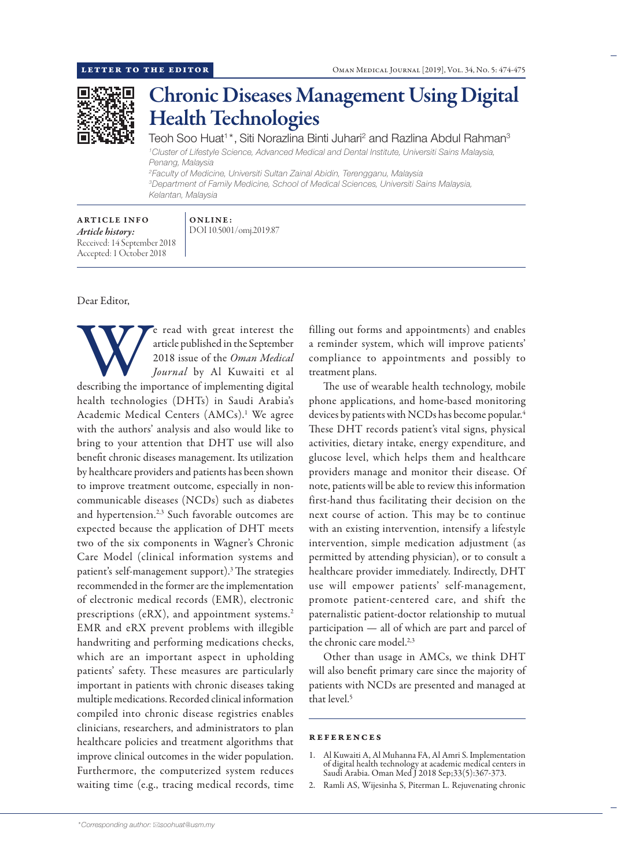

## Chronic Diseases Management Using Digital Health Technologies

Teoh Soo Huat<sup>1</sup>\*, Siti Norazlina Binti Juhari<sup>2</sup> and Razlina Abdul Rahman<sup>3</sup> *1 Cluster of Lifestyle Science, Advanced Medical and Dental Institute, Universiti Sains Malaysia, Penang, Malaysia 2 Faculty of Medicine, Universiti Sultan Zainal Abidin, Terengganu, Malaysia 3 Department of Family Medicine, School of Medical Sciences, Universiti Sains Malaysia,*

*Kelantan, Malaysia*

ARTICLE INFO *Article history:* Received: 14 September 2018 Accepted: 1 October 2018

## ONLINE: DOI 10.5001/omj.2019.87

Dear Editor,

e read with great interest the article published in the September<br>
2018 issue of the *Oman Medical*<br> *Journal* by Al Kuwaiti et al<br>
describing the importance of implementing digital article published in the September 2018 issue of the *Oman Medical Journal* by Al Kuwaiti et al health technologies (DHTs) in Saudi Arabia's Academic Medical Centers (AMCs).1 We agree with the authors' analysis and also would like to bring to your attention that DHT use will also benefit chronic diseases management. Its utilization by healthcare providers and patients has been shown to improve treatment outcome, especially in noncommunicable diseases (NCDs) such as diabetes and hypertension.<sup>2,3</sup> Such favorable outcomes are expected because the application of DHT meets two of the six components in Wagner's Chronic Care Model (clinical information systems and patient's self-management support).3 The strategies recommended in the former are the implementation of electronic medical records (EMR), electronic prescriptions (eRX), and appointment systems.<sup>2</sup> EMR and eRX prevent problems with illegible handwriting and performing medications checks, which are an important aspect in upholding patients' safety. These measures are particularly important in patients with chronic diseases taking multiple medications. Recorded clinical information compiled into chronic disease registries enables clinicians, researchers, and administrators to plan healthcare policies and treatment algorithms that improve clinical outcomes in the wider population. Furthermore, the computerized system reduces waiting time (e.g., tracing medical records, time

filling out forms and appointments) and enables a reminder system, which will improve patients' compliance to appointments and possibly to treatment plans.

The use of wearable health technology, mobile phone applications, and home-based monitoring devices by patients with NCDs has become popular.<sup>4</sup> These DHT records patient's vital signs, physical activities, dietary intake, energy expenditure, and glucose level, which helps them and healthcare providers manage and monitor their disease. Of note, patients will be able to review this information first-hand thus facilitating their decision on the next course of action. This may be to continue with an existing intervention, intensify a lifestyle intervention, simple medication adjustment (as permitted by attending physician), or to consult a healthcare provider immediately. Indirectly, DHT use will empower patients' self-management, promote patient-centered care, and shift the paternalistic patient-doctor relationship to mutual participation — all of which are part and parcel of the chronic care model.<sup>2,3</sup>

Other than usage in AMCs, we think DHT will also benefit primary care since the majority of patients with NCDs are presented and managed at that level.<sup>5</sup>

## references

- 1. Al Kuwaiti A, Al Muhanna FA, Al Amri S. Implementation of digital health technology at academic medical centers in Saudi Arabia. Oman Med J 2018 Sep;33(5):367-373.
- 2. Ramli AS, Wijesinha S, Piterman L. Rejuvenating chronic